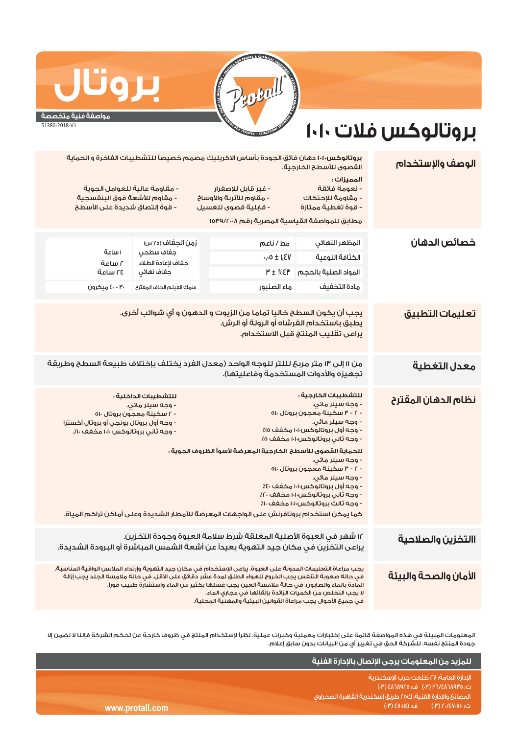# **بروتالوكس فلات ١٠١٠**

**مواصفة فنية متخصصة** 51380-2018-V1

**بروتال**

#### يجب أن يكون السطح خاليا تماما من الزيوت و الدهون و أي شوائب أخرى. يطبق باستخدام الفرشاه أو الرولة أو الرش. يراعى تقليب المنتج قبل الاستخدام. ١٢ شهر في العبوة الأصلية المغلقة شرط سلامة العبوة وجودة التخزين. يراعى التخزين في مكان جيد التهوية بعيداً عن أشعة الشمس المباشرة أو البرودة الشديدة. يجب مراعاة التعليمات المدونة على العبوة. يراعى الإستخدام في مكان جيد التهوية وإرتداء الملابس الواقية المناسبة. في حالة صعوبة التنفس يجب الخروج للهواء الطلق لمدة عشر دقائق على الأقل. في حالة ملامسة الجلد يجب إزالة المادة بالماء والصابون. في حالة ملامسة العين يجب غسلها بكثير من الماء وإستشارة طبيب فوراً. لا يجب التخلص من الكميات الزائدة بإلقائها في مجاري الماء. في جميع الأحوال يجب مراعاة القوانين البيئية والمهنية المحلية. من ١١ إلى ١٣ متر مربح لللتر للوحه الواحد (معدل الفرد يختلف بإختلاف طبيعة السطح وطريقة تجهيزه والأدوات المستخدمة وفاعليتها). ٠٫٠٥ ± ١٫٤٧ ٣ ± %٤٣ المواد الصلبة بالحجم **الوصف والإستخدام تعليمات التطبيق نظام الدهان المقترح خصائص الدهان** المظهر النهائي الكثافة النوعية زمن الجفاف (°٢٥س) جفاف سطحي جفاف لإعادة الطلاء جفاف نهائي **االتخزين والصلاحية الأمان والصحة والبيئة معدل التغطية**  مادة التخفيف سمك المعليور سمك المقترح الجاف المقترح المقترح المقترح المقترح المقترح المقترح المقترحون **بروتالوكس١٠١٠** دهان فائق الجودة بأساس الاكريليك مصمم خصيصاً للتشطيبات الفاخرة و الحماية القصوى للأسطح الخارجية. **المميزات :** - نعومة فائقة - غير قابل للإصفرار - مقاومة عالية للعوامل الجوية - مقاومة للإحتكاك - مقاوم للأتربة والأوساخ - مقاوم للأشعة فوق البنفسجية - قوة تغطية ممتازة - قابلية قصوى للغسيل - قوة إلتصاق شديدة على الأسطح **للتشطيبات الخارجية :** - وجه سيلر مائي. - ٢ - ٣ سكينة معجون بروتال ٥١٠ - وجه سيلر مائي. - وجه أول بروتالوكس١٠١٠ مخفف ٪١٥ - وجه ثاني بروتالوكس١٠١٠ مخفف ٪٥ **للتشطيبات الداخلية :** - وجه سيلر مائي. - ٢ سكينة معجون بروتال ٥١٠ - وجه أول بروتال بونجي أو بروتال أكسترا - وجه ثاني بروتالوكس ١٠١٠ مخفف .٪١٠ **للحماية القصوى للأسطح الخارجية المعرضة لأسوأ الظروف الجوية :** - وجه سيلر مائي. - ٢ - ٣ سكينة معجون بروتال ٥١٠ - وجه سيلر مائي. - وجه أول بروتالوكس١٠١٠ مخفف ٪٤٠ - وجه ثاني بروتالوكس١٠١٠ مخفف ٪٢٠ - وجه ثالث بروتالوكس١٠١٠ مخفف ٪١٠ مطابق للمواصفة القياسية المصرية رقم ١٥٣٩/٢٠٠٨ ١ ساعة ٢ ساعة ٢٤ ساعة مط / ناعم كما يمكن استخدام بروتافرنش على الواجهات المعرضة للأمطار الشديدة وعلى أماكن تراكم المياة.

المعلومات المبينة في هذه المواصفة قائمة على إختبارات معملية وخبرات عملية. نظراً لإستخدام المنتج في ظروف خارجة عن تحكم الشركة فإننا لا نضمن إلا جودة المنتج نفسه. للشركة الحق في تغيير أي من البيانات بدون سابق إعلام.

|                 | ، للمزيد من المعلومات يرجى الإتصال بالإدارة الفنية ا                                                                                                         |
|-----------------|--------------------------------------------------------------------------------------------------------------------------------------------------------------|
|                 | الادارة العامة؛ ٢٧ طلعت حرب الاسكندرية<br>ت؛ ٥٣٥٨٢٨٦٨٩٢٥ (٣) ف؛ ٤٨٦٨٩٢٥ (٣)                                                                                  |
|                 | ً المصانعَ والإدارة الفنية؛ ك٢٥ طريقَ إسكندرية القاهرة الصحراوى ا                                                                                            |
| www.protall.com | ن ف: EV-IIEI) هـ:<br>$\mathsf{I} = (\mathsf{I}^{\mathsf{p}})^{\mathsf{p}} \mathsf{I} \cdot \mathsf{I} = \mathsf{I}^{\mathsf{p}} \mathsf{I} \cdot \mathsf{I}$ |